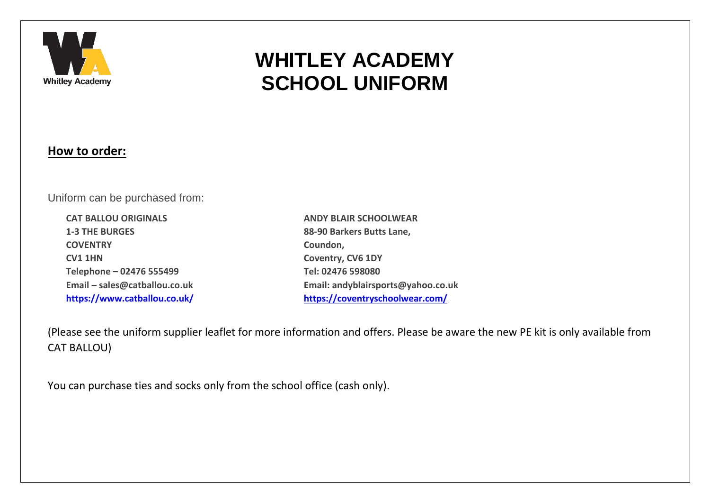

# **WHITLEY ACADEMY SCHOOL UNIFORM**

## **How to order:**

Uniform can be purchased from:

**CAT BALLOU ORIGINALS 1-3 THE BURGES COVENTRY CV1 1HN Telephone – 02476 555499 Email – sales@catballou.co.uk https://www.catballou.co.uk/**

**ANDY BLAIR SCHOOLWEAR 88-90 Barkers Butts Lane, Coundon, Coventry, CV6 1DY Tel: 02476 598080 Email: andyblairsports@yahoo.co.uk <https://coventryschoolwear.com/>**

(Please see the uniform supplier leaflet for more information and offers. Please be aware the new PE kit is only available from CAT BALLOU)

You can purchase ties and socks only from the school office (cash only).